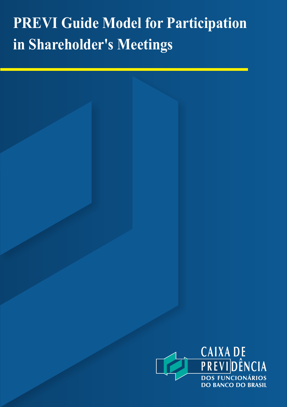# **PREVI Guide Model for Participation in Shareholder's Meetings**

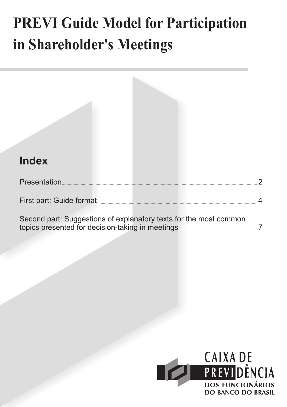# **PREVI Guide Model for Participation in Shareholder's Meetings**



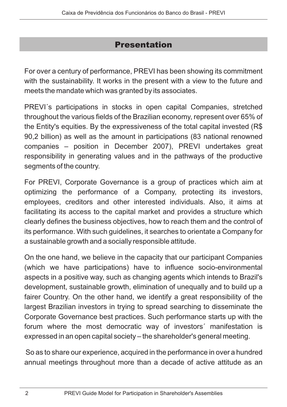## Presentation

For over a century of performance, PREVI has been showing its commitment with the sustainability. It works in the present with a view to the future and meets the mandate which was granted by its associates.

PREVI´s participations in stocks in open capital Companies, stretched throughout the various fields of the Brazilian economy, represent over 65% of the Entity's equities. By the expressiveness of the total capital invested (R\$ 90,2 billion) as well as the amount in participations (83 national renowned companies – position in December 2007), PREVI undertakes great responsibility in generating values and in the pathways of the productive segments of the country.

For PREVI, Corporate Governance is a group of practices which aim at optimizing the performance of a Company, protecting its investors, employees, creditors and other interested individuals. Also, it aims at facilitating its access to the capital market and provides a structure which clearly defines the business objectives, how to reach them and the control of its performance. With such guidelines, it searches to orientate a Company for a sustainable growth and a socially responsible attitude.

On the one hand, we believe in the capacity that our participant Companies (which we have participations) have to influence socio-environmental aspects in a positive way, such as changing agents which intends to Brazil's development, sustainable growth, elimination of unequally and to build up a fairer Country. On the other hand, we identify a great responsibility of the largest Brazilian investors in trying to spread searching to disseminate the Corporate Governance best practices. Such performance starts up with the forum where the most democratic way of investors´ manifestation is expressed in an open capital society – the shareholder's general meeting.

So as to share our experience, acquired in the performance in over a hundred annual meetings throughout more than a decade of active attitude as an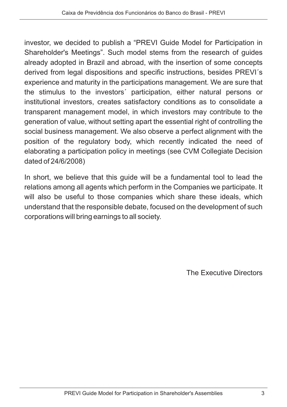investor, we decided to publish a "PREVI Guide Model for Participation in Shareholder's Meetings". Such model stems from the research of guides already adopted in Brazil and abroad, with the insertion of some concepts derived from legal dispositions and specific instructions, besides PREVI´s experience and maturity in the participations management. We are sure that the stimulus to the investors´ participation, either natural persons or institutional investors, creates satisfactory conditions as to consolidate a transparent management model, in which investors may contribute to the generation of value, without setting apart the essential right of controlling the social business management. We also observe a perfect alignment with the position of the regulatory body, which recently indicated the need of elaborating a participation policy in meetings (see CVM Collegiate Decision dated of 24/6/2008)

In short, we believe that this guide will be a fundamental tool to lead the relations among all agents which perform in the Companies we participate. It will also be useful to those companies which share these ideals, which understand that the responsible debate, focused on the development of such corporations will bring earnings to all society.

The Executive Directors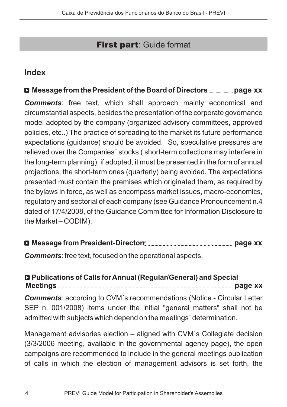## **First part: Guide format**

## **Index**

## **Message from the President of the Board of Directors page xx**

*Comments* : free text, which shall approach mainly economical and circumstantial aspects, besides the presentation of the corporate governance model adopted by the company (organized advisory committees, approved policies, etc..) The practice of spreading to the market its future performance expectations (guidance) should be avoided. So, speculative pressures are relieved over the Companies´ stocks ( short-term collections may interfere in the long-term planning); if adopted, it must be presented in the form of annual projections, the short-term ones (quarterly) being avoided. The expectations presented must contain the premises which originated them, as required by the bylaws in force, as well as encompass market issues, macro-economics, regulatory and sectorial of each company (see Guidance Pronouncement n.4 dated of 17/4/2008, of the Guidance Committee for Information Disclosure to the Market – CODIM).

| Commenter frontant focused on the energianal conocto |  |
|------------------------------------------------------|--|

*Comments* : free text, focused on the operational aspects.

#### **Publications of Calls for Annual (Regular/General) and Special Meetings page xx**

*Comments* : according to CVM´s recommendations (Notice - Circular Letter SEP n. 001/2008) items under the initial "general matters" shall not be admitted with subjects which depend on the meetings´ determination.

Management advisories election - aligned with CVM´s Collegiate decision (3/3/2006 meeting, available in the governmental agency page), the open campaigns are recommended to include in the general meetings publication of calls in which the election of management advisors is set forth, the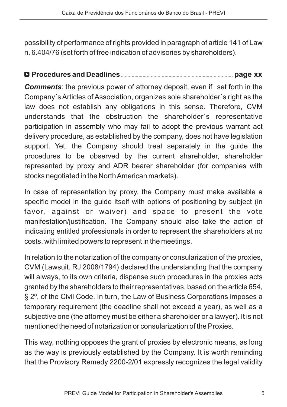possibility of performance of rights provided in paragraph of article 141 of Law n. 6.404/76 (set forth of free indication of advisories by shareholders).

### **Procedures and Deadlines page xx**

Comments: the previous power of attorney deposit, even if set forth in the Company´s Articles of Association, organizes sole shareholder´s right as the law does not establish any obligations in this sense. Therefore, CVM understands that the obstruction the shareholder´s representative participation in assembly who may fail to adopt the previous warrant act delivery procedure, as established by the company, does not have legislation support. Yet, the Company should treat separately in the guide the procedures to be observed by the current shareholder, shareholder represented by proxy and ADR bearer shareholder (for companies with stocks negotiated in the NorthAmerican markets).

In case of representation by proxy, the Company must make available a specific model in the guide itself with options of positioning by subject (in favor, against or waiver) and space to present the vote manifestation/justification. The Company should also take the action of indicating entitled professionals in order to represent the shareholders at no costs, with limited powers to represent in the meetings.

In relation to the notarization of the company or consularization of the proxies, CVM (Lawsuit. RJ 2008/1794) declared the understanding that the company will always, to its own criteria, dispense such procedures in the proxies acts granted by the shareholders to their representatives, based on the article 654, § 2º, of the Civil Code. In turn, the Law of Business Corporations imposes a temporary requirement (the deadline shall not exceed a year), as well as a subjective one (the attorney must be either a shareholder or a lawyer). It is not mentioned the need of notarization or consularization of the Proxies.

This way, nothing opposes the grant of proxies by electronic means, as long as the way is previously established by the Company. It is worth reminding that the Provisory Remedy 2200-2/01 expressly recognizes the legal validity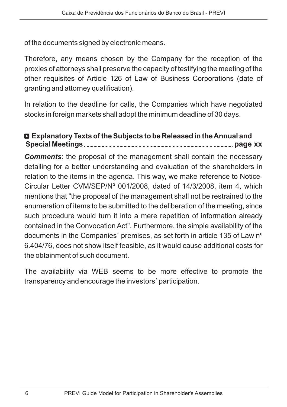of the documents signed by electronic means.

Therefore, any means chosen by the Company for the reception of the proxies of attorneys shall preserve the capacity of testifying the meeting of the other requisites of Article 126 of Law of Business Corporations (date of granting and attorney qualification).

In relation to the deadline for calls, the Companies which have negotiated stocks in foreign markets shall adopt the minimum deadline of 30 days.

### **Explanatory Texts of the Subjects to be Released in the Annual and Special Meetings page xx**

Comments: the proposal of the management shall contain the necessary detailing for a better understanding and evaluation of the shareholders in relation to the items in the agenda. This way, we make reference to Notice-Circular Letter CVM/SEP/Nº 001/2008, dated of 14/3/2008, item 4, which mentions that "the proposal of the management shall not be restrained to the enumeration of items to be submitted to the deliberation of the meeting, since such procedure would turn it into a mere repetition of information already contained in the Convocation Act". Furthermore, the simple availability of the documents in the Companies´ premises, as set forth in article 135 of Law nº 6.404/76, does not show itself feasible, as it would cause additional costs for the obtainment of such document.

The availability via WEB seems to be more effective to promote the transparency and encourage the investors´ participation.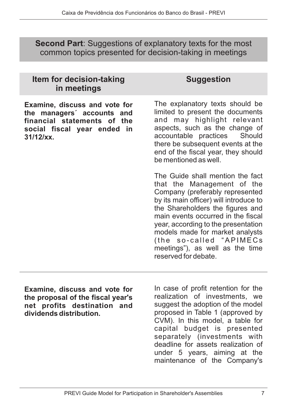**Second Part:** Suggestions of explanatory texts for the most common topics presented for decision-taking in meetings

| <b>ILGIII IVI UGUISIUII-LANIIIU</b><br>in meetings                                                                                        | งนนูนูธิจแบบ                                                                                                                                                                                                                                                                                                                                                                          |
|-------------------------------------------------------------------------------------------------------------------------------------------|---------------------------------------------------------------------------------------------------------------------------------------------------------------------------------------------------------------------------------------------------------------------------------------------------------------------------------------------------------------------------------------|
| Examine, discuss and vote for<br>the managers' accounts and<br>financial statements of the<br>social fiscal year ended in<br>$31/12$ /xx. | The explanatory texts should be<br>limited to present the documents<br>and may highlight relevant<br>aspects, such as the change of<br>accountable practices Should<br>there be subsequent events at the<br>end of the fiscal year, they should<br>be mentioned as well.                                                                                                              |
|                                                                                                                                           | The Guide shall mention the fact<br>that the Management of the<br>Company (preferably represented<br>by its main officer) will introduce to<br>the Shareholders the figures and<br>main events occurred in the fiscal<br>year, according to the presentation<br>models made for market analysts<br>(the so-called "APIMECs<br>meetings"), as well as the time<br>reserved for debate. |

**Examine, discuss and vote for the proposal of the fiscal year's net profits destination and dividends distribution.**

**Item for decision-taking**

In case of profit retention for the realization of investments, we suggest the adoption of the model proposed in Table 1 (approved by CVM). In this model, a table for capital budget is presented separately (investments with deadline for assets realization of under 5 years, aiming at the maintenance of the Company's

**Suggestion**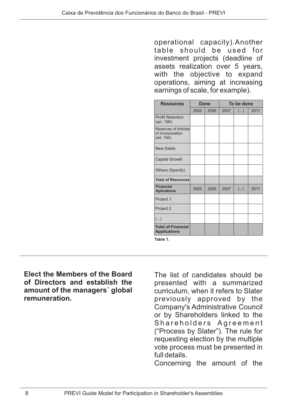operational capacity).Another table should be used for investment projects (deadline of assets realization over 5 years, with the objective to expand operations, aiming at increasing earnings of scale, for example).

| <b>Resources</b>                                              | Done |      | To be done |    |      |
|---------------------------------------------------------------|------|------|------------|----|------|
|                                                               | 2005 | 2006 | 2007       | () | 2011 |
| <b>Profit Retention</b><br>(art. 196)                         |      |      |            |    |      |
| <b>Reserves of Articles</b><br>of Incorporation<br>(art. 194) |      |      |            |    |      |
| <b>New Debts</b>                                              |      |      |            |    |      |
| Capital Growth                                                |      |      |            |    |      |
| Others (Specify)                                              |      |      |            |    |      |
| <b>Total of Resources</b>                                     |      |      |            |    |      |
| <b>Financial</b><br><b>Aplications</b>                        | 2005 | 2006 | 2007       | () | 2011 |
| Project 1                                                     |      |      |            |    |      |
| Project 2                                                     |      |      |            |    |      |
| ()                                                            |      |      |            |    |      |
| <b>Total of Financial</b><br><b>Applications</b>              |      |      |            |    |      |

**Table 1.**

**Elect the Members of the Board of Directors and establish the amount of the managers´ global remuneration.**

The list of candidates should be presented with a summarized curriculum, when it refers to Slater previously approved by the Company's Administrative Council or by Shareholders linked to the Shareholders Agreement ("Process by Slater"). The rule for requesting election by the multiple vote process must be presented in full details.

Concerning the amount of the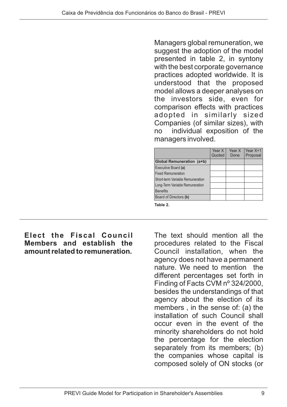Managers global remuneration, we suggest the adoption of the model presented in table 2, in syntony with the best corporate governance practices adopted worldwide. It is understood that the proposed model allows a deeper analyses on the investors side, even for comparison effects with practices adopted in similarly sized Companies (of similar sizes), with no individual exposition of the managers involved.

|                                  | Year X<br>Quoted | Year X<br>Done | Year X+1<br>Proposal |
|----------------------------------|------------------|----------------|----------------------|
| Global Remuneration (a+b)        |                  |                |                      |
| Executive Board (a)              |                  |                |                      |
| <b>Fixed Remuneration</b>        |                  |                |                      |
| Short-term Variable Remuneration |                  |                |                      |
| Long-Term Variable Remuneration  |                  |                |                      |
| <b>Benefits</b>                  |                  |                |                      |
| Board of Directors (b)           |                  |                |                      |
| Table 2.                         |                  |                |                      |

#### **Elect the Fiscal Council Members and establish the amount related to remuneration.**

The text should mention all the procedures related to the Fiscal Council installation, when the agency does not have a permanent nature. We need to mention the different percentages set forth in Finding of Facts CVM nº 324/2000, besides the understandings of that agency about the election of its members , in the sense of: (a) the installation of such Council shall occur even in the event of the minority shareholders do not hold the percentage for the election separately from its members; (b) the companies whose capital is composed solely of ON stocks (or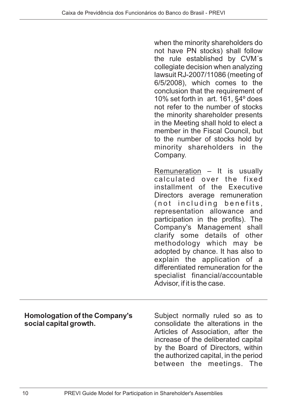when the minority shareholders do not have PN stocks) shall follow the rule established by CVM´s collegiate decision when analyzing lawsuit RJ-2007/11086 (meeting of 6/5/2008), which comes to the conclusion that the requirement of 10% set forth in art. 161, §4º does not refer to the number of stocks the minority shareholder presents in the Meeting shall hold to elect a member in the Fiscal Council, but to the number of stocks hold by minority shareholders in the Company.

Remuneration - It is usually calculated over the fixed installment of the Executive Directors average remuneration (not including benefits, representation allowance and participation in the profits). The Company's Management shall clarify some details of other methodology which may be adopted by chance. It has also to explain the application of a differentiated remuneration for the specialist financial/accountable Advisor, if it is the case.

| <b>Homologation of the Company's</b> | Subject normally ruled so as to       |  |  |
|--------------------------------------|---------------------------------------|--|--|
| social capital growth.               | consolidate the alterations in the    |  |  |
|                                      | Articles of Association, after the    |  |  |
|                                      | increase of the deliberated capital   |  |  |
|                                      | by the Board of Directors, within     |  |  |
|                                      | the authorized capital, in the period |  |  |
|                                      | between the meetings. The             |  |  |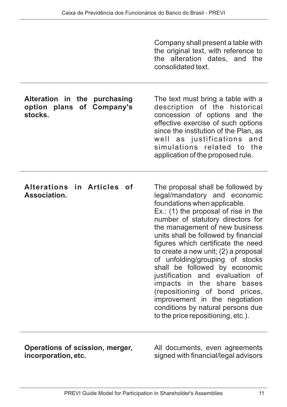| Company shall present a table with   |                               |  |  |  |
|--------------------------------------|-------------------------------|--|--|--|
| the original text, with reference to |                               |  |  |  |
|                                      | the alteration dates, and the |  |  |  |
| consolidated text.                   |                               |  |  |  |

The text must bring a table with a description of the historical concession of options and the effective exercise of such options since the institution of the Plan, as well as justifications and simulations related to the application of the proposed rule.

#### **Alteration in the purchasing option plans of Company's stocks.**

| Alterations in Articles of |  |  |
|----------------------------|--|--|
| Association.               |  |  |

The proposal shall be followed by legal/mandatory and economic foundations when applicable. Ex.: (1) the proposal of rise in the number of statutory directors for the management of new business units shall be followed by financial figures which certificate the need to create a new unit; (2) a proposal of unfolding/grouping of stocks shall be followed by economic justification and evaluation of impacts in the share bases (repositioning of bond prices, improvement in the negotiation conditions by natural persons due to the price repositioning, etc.).

**Operations of scission, merger, incorporation, etc.**

All documents, even agreements signed with financial/legal advisors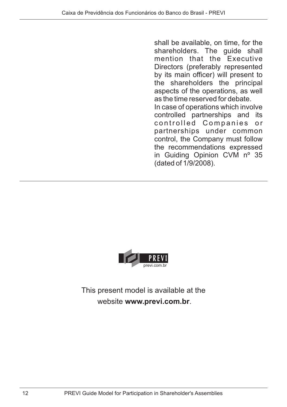shall be available, on time, for the shareholders. The guide shall mention that the Executive Directors (preferably represented by its main officer) will present to the shareholders the principal aspects of the operations, as well as the time reserved for debate. In case of operations which involve controlled partnerships and its controlled Companies or partnerships under common control, the Company must follow the recommendations expressed in Guiding Opinion CVM nº 35 (dated of 1/9/2008).



This present model is available at the website www.previ.com.br.